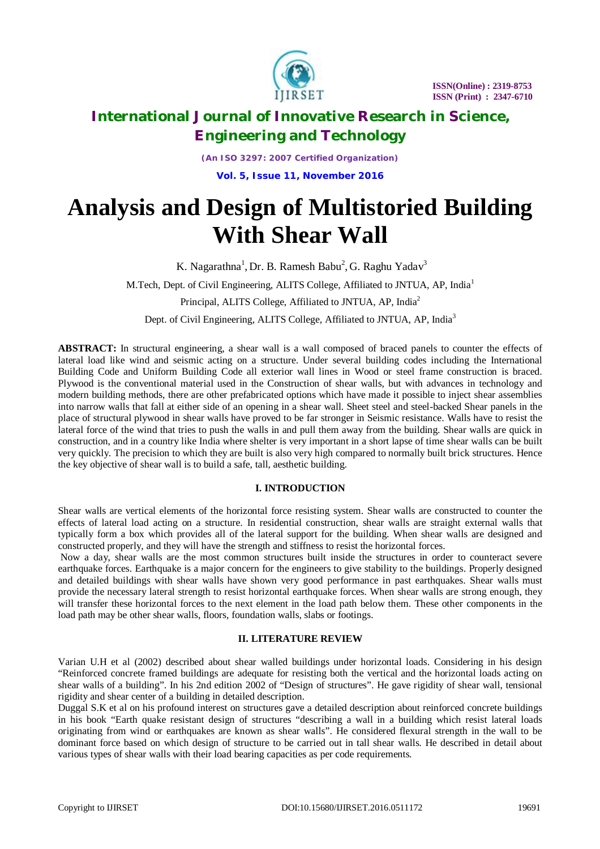

*(An ISO 3297: 2007 Certified Organization)* **Vol. 5, Issue 11, November 2016**

# **Analysis and Design of Multistoried Building With Shear Wall**

K. Nagarathna<sup>1</sup>, Dr. B. Ramesh Babu<sup>2</sup>, G. Raghu Yadav<sup>3</sup> M.Tech, Dept. of Civil Engineering, ALITS College, Affiliated to JNTUA, AP, India<sup>1</sup> Principal, ALITS College, Affiliated to JNTUA, AP, India<sup>2</sup>

Dept. of Civil Engineering, ALITS College, Affiliated to JNTUA, AP, India<sup>3</sup>

**ABSTRACT:** In structural engineering, a shear wall is a wall composed of braced panels to counter the effects of lateral load like wind and seismic acting on a structure. Under several building codes including the International Building Code and Uniform Building Code all exterior wall lines in Wood or steel frame construction is braced. Plywood is the conventional material used in the Construction of shear walls, but with advances in technology and modern building methods, there are other prefabricated options which have made it possible to inject shear assemblies into narrow walls that fall at either side of an opening in a shear wall. Sheet steel and steel-backed Shear panels in the place of structural plywood in shear walls have proved to be far stronger in Seismic resistance. Walls have to resist the lateral force of the wind that tries to push the walls in and pull them away from the building. Shear walls are quick in construction, and in a country like India where shelter is very important in a short lapse of time shear walls can be built very quickly. The precision to which they are built is also very high compared to normally built brick structures. Hence the key objective of shear wall is to build a safe, tall, aesthetic building.

### **I. INTRODUCTION**

Shear walls are vertical elements of the horizontal force resisting system. Shear walls are constructed to counter the effects of lateral load acting on a structure. In residential construction, shear walls are straight external walls that typically form a box which provides all of the lateral support for the building. When shear walls are designed and constructed properly, and they will have the strength and stiffness to resist the horizontal forces.

Now a day, shear walls are the most common structures built inside the structures in order to counteract severe earthquake forces. Earthquake is a major concern for the engineers to give stability to the buildings. Properly designed and detailed buildings with shear walls have shown very good performance in past earthquakes. Shear walls must provide the necessary lateral strength to resist horizontal earthquake forces. When shear walls are strong enough, they will transfer these horizontal forces to the next element in the load path below them. These other components in the load path may be other shear walls, floors, foundation walls, slabs or footings.

## **II. LITERATURE REVIEW**

Varian U.H et al (2002) described about shear walled buildings under horizontal loads. Considering in his design "Reinforced concrete framed buildings are adequate for resisting both the vertical and the horizontal loads acting on shear walls of a building". In his 2nd edition 2002 of "Design of structures". He gave rigidity of shear wall, tensional rigidity and shear center of a building in detailed description.

Duggal S.K et al on his profound interest on structures gave a detailed description about reinforced concrete buildings in his book "Earth quake resistant design of structures "describing a wall in a building which resist lateral loads originating from wind or earthquakes are known as shear walls". He considered flexural strength in the wall to be dominant force based on which design of structure to be carried out in tall shear walls. He described in detail about various types of shear walls with their load bearing capacities as per code requirements.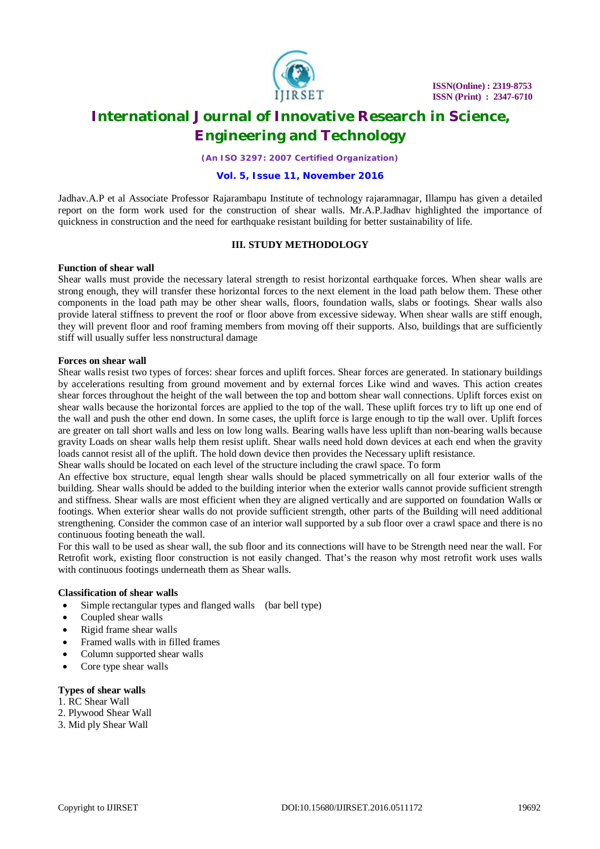

*(An ISO 3297: 2007 Certified Organization)*

#### **Vol. 5, Issue 11, November 2016**

Jadhav.A.P et al Associate Professor Rajarambapu Institute of technology rajaramnagar, Illampu has given a detailed report on the form work used for the construction of shear walls. Mr.A.P.Jadhav highlighted the importance of quickness in construction and the need for earthquake resistant building for better sustainability of life.

### **III. STUDY METHODOLOGY**

#### **Function of shear wall**

Shear walls must provide the necessary lateral strength to resist horizontal earthquake forces. When shear walls are strong enough, they will transfer these horizontal forces to the next element in the load path below them. These other components in the load path may be other shear walls, floors, foundation walls, slabs or footings. Shear walls also provide lateral stiffness to prevent the roof or floor above from excessive sideway. When shear walls are stiff enough, they will prevent floor and roof framing members from moving off their supports. Also, buildings that are sufficiently stiff will usually suffer less nonstructural damage

### **Forces on shear wall**

Shear walls resist two types of forces: shear forces and uplift forces. Shear forces are generated. In stationary buildings by accelerations resulting from ground movement and by external forces Like wind and waves. This action creates shear forces throughout the height of the wall between the top and bottom shear wall connections. Uplift forces exist on shear walls because the horizontal forces are applied to the top of the wall. These uplift forces try to lift up one end of the wall and push the other end down. In some cases, the uplift force is large enough to tip the wall over. Uplift forces are greater on tall short walls and less on low long walls. Bearing walls have less uplift than non-bearing walls because gravity Loads on shear walls help them resist uplift. Shear walls need hold down devices at each end when the gravity loads cannot resist all of the uplift. The hold down device then provides the Necessary uplift resistance.

Shear walls should be located on each level of the structure including the crawl space. To form

An effective box structure, equal length shear walls should be placed symmetrically on all four exterior walls of the building. Shear walls should be added to the building interior when the exterior walls cannot provide sufficient strength and stiffness. Shear walls are most efficient when they are aligned vertically and are supported on foundation Walls or footings. When exterior shear walls do not provide sufficient strength, other parts of the Building will need additional strengthening. Consider the common case of an interior wall supported by a sub floor over a crawl space and there is no continuous footing beneath the wall.

For this wall to be used as shear wall, the sub floor and its connections will have to be Strength need near the wall. For Retrofit work, existing floor construction is not easily changed. That's the reason why most retrofit work uses walls with continuous footings underneath them as Shear walls.

### **Classification of shear walls**

- Simple rectangular types and flanged walls (bar bell type)
- Coupled shear walls
- Rigid frame shear walls
- Framed walls with in filled frames
- Column supported shear walls
- Core type shear walls

#### **Types of shear walls**

- 1. RC Shear Wall
- 2. Plywood Shear Wall
- 3. Mid ply Shear Wall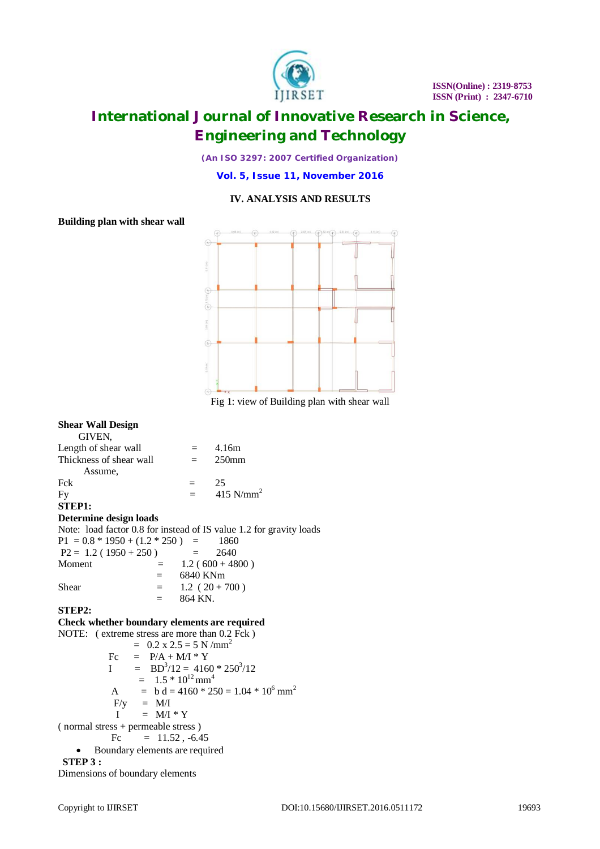

*(An ISO 3297: 2007 Certified Organization)*

**Vol. 5, Issue 11, November 2016**

### **IV. ANALYSIS AND RESULTS**

### **Building plan with shear wall**



Fig 1: view of Building plan with shear wall

#### **Shear Wall Design** GIVEN, Length of shear wall  $= 4.16m$ <br>Thickness of shear wall  $= 250mm$ Thickness of shear wall  $=$ Assume,<br>Fck Fck  $= 25$ Fy  $= 415 \text{ N/mm}^2$ **STEP1: Determine design loads** Note: load factor 0.8 for instead of IS value 1.2 for gravity loads  $P1 = 0.8 * 1950 + (1.2 * 250) = 1860$ <br> $P2 = 1.2 (1950 + 250) = 2640$  $P2 = 1.2 (1950 + 250) =$ Moment  $= 1.2 (600 + 4800)$  = 6840 KNm Shear  $= 1.2 (20 + 700)$  $=$  864 KN. **STEP2:**

#### **Check whether boundary elements are required**

NOTE: ( extreme stress are more than  $0.2$  Fck )  $= 0.2 \times 2.5 = 5 \text{ N/mm}^2$ <br>Fc  $= P/A + M/I * Y$  $=$  P/A + M/I \* Y  $I = BD^3/12 = 4160 * 250^3/12$  $= 1.5 * 10^{12}$  mm<sup>4</sup> A = b d = 4160 \* 250 = 1.04 \* 10<sup>6</sup> mm<sup>2</sup>  $F/y = M/I$  $I = M/I * Y$ ( normal stress + permeable stress ) Fc  $= 11.52, -6.45$  Boundary elements are required **STEP 3 :**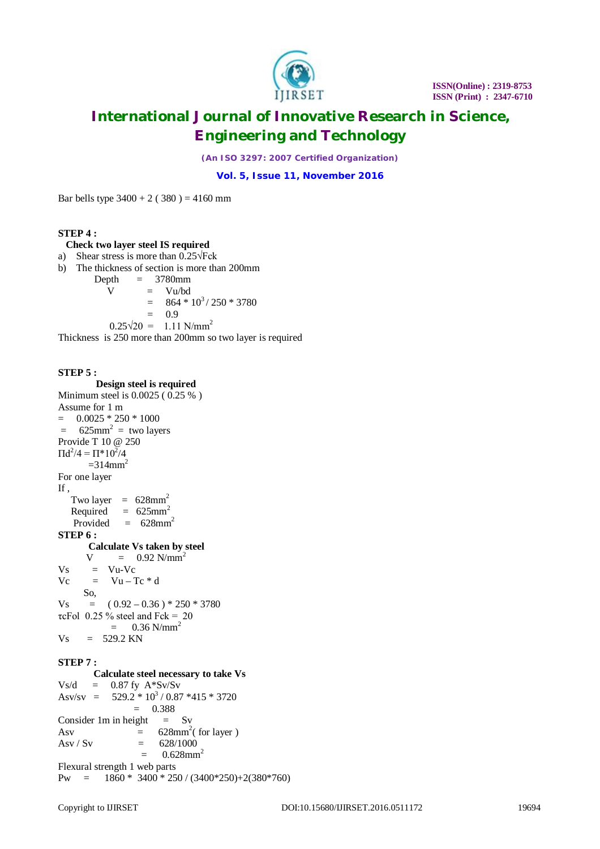

*(An ISO 3297: 2007 Certified Organization)*

**Vol. 5, Issue 11, November 2016**

Bar bells type  $3400 + 2 (380) = 4160$  mm

### **STEP 4 :**

#### **Check two layer steel IS required**

- a) Shear stress is more than 0.25√Fck
- b) The thickness of section is more than 200mm
	- Depth  $= 3780$ mm  $V = Vu/bd$

 $= 864 * 10<sup>3</sup> / 250 * 3780$ 

 $= 0.9$ 

 $0.25\sqrt{20} = 1.11 \text{ N/mm}^2$ 

Thickness is 250 more than 200mm so two layer is required

### **STEP 5 :**

 **Design steel is required** Minimum steel is 0.0025 ( 0.25 % ) Assume for 1 m  $=$  0.0025  $*$  250  $*$  1000  $=$  625mm<sup>2</sup> = two layers Provide T 10 @ 250  $\Pi d^2/4 = \Pi^* 10^2/4$  $=314$ mm<sup>2</sup> For one layer If , Two layer  $= 628$ mm<sup>2</sup> Required  $= 625$ mm<sup>2</sup> Provided  $= 628$ mm<sup>2</sup> **STEP 6 : Calculate Vs taken by steel**<br>V =  $0.92$  N/mm<sup>2</sup>  $=$  0.92 N/mm<sup>2</sup>  $V_s$  =  $Vu$ - $V_c$  $Vc = Vu - Tc * d$  So,  $V_s = (0.92 - 0.36) * 250 * 3780$ τcFol 0.25 % steel and Fck = 20  $=$  0.36 N/mm<sup>2</sup>  $V_s = 529.2$  KN **STEP 7 : Calculate steel necessary to take Vs**  $Vs/d = 0.87$  fy  $A*Sv/Sv$ Asv/sv =  $529.2 * 10^3 / 0.87 * 415 * 3720$  $= 0.388$ Consider 1m in height  $=$  Sv Asv  $= 628 \text{mm}^2$  (for layer ) Asv / Sv  $= 628/1000$  $=$  0.628mm<sup>2</sup> Flexural strength 1 web parts Pw =  $1860 * 3400 * 250 / (3400 * 250) + 2(380 * 760)$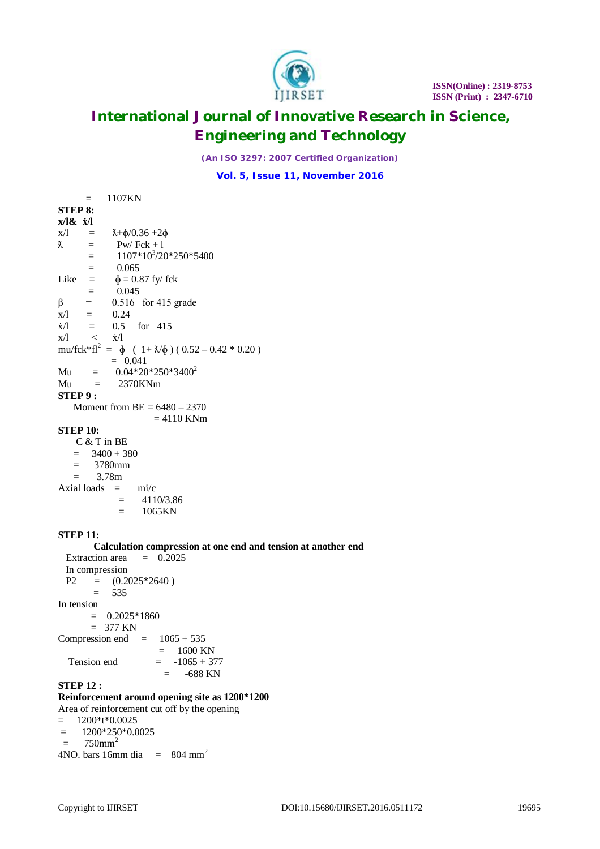

*(An ISO 3297: 2007 Certified Organization)*

**Vol. 5, Issue 11, November 2016**

 $=$  1107KN **STEP 8: x/l& ẋ/l**  $x/l = \lambda + \phi/0.36 + 2\phi$  $\lambda$  = Pw/ Fck + 1  $= 1107*10<sup>3</sup>/20*250*5400$  $=$  0.065 Like  $=$   $\phi = 0.87$  fy/ fck  $=$  0.045  $β = 0.516$  for 415 grade<br>x/l = 0.24  $0.24$  $\dot{x}/l$  = 0.5 for 415<br> $x/l$  <  $\dot{x}/l$  $\langle \dot{x} \rangle$ mu/fck\*fl<sup>2</sup> =  $\oint (1 + \lambda/\oint) (0.52 - 0.42 * 0.20)$  $= 0.041$ Mu =  $0.04*20*250*3400^2$  $Mu = 2370KNm$ **STEP 9 :** Moment from  $BE = 6480 - 2370$  $= 4110$  KNm **STEP 10:** C & T in BE  $= 3400 + 380$  = 3780mm  $= 3.78m$ Axial loads  $=$  mi/c

> $= 4110/3.86$  $=$  1065KN

### **STEP 11:**

**Calculation compression at one end and tension at another end** tion area  $= 0.2025$ Extraction area In compression  $P2 = (0.2025 * 2640)$  $= 535$ In tension  $= 0.2025*1860$  $= 377$  KN Compression end  $= 1065 + 535$  $= 1600$  KN Tension end  $= -1065 + 377$  $=$  -688 KN **STEP 12 :**

# **Reinforcement around opening site as 1200\*1200**

Area of reinforcement cut off by the opening

 $= 1200* t*0.0025$ 

 $= 1200*250*0.0025$ 

 $= 750$ mm<sup>2</sup>

4NO. bars 16mm dia  $= 804$  mm<sup>2</sup>